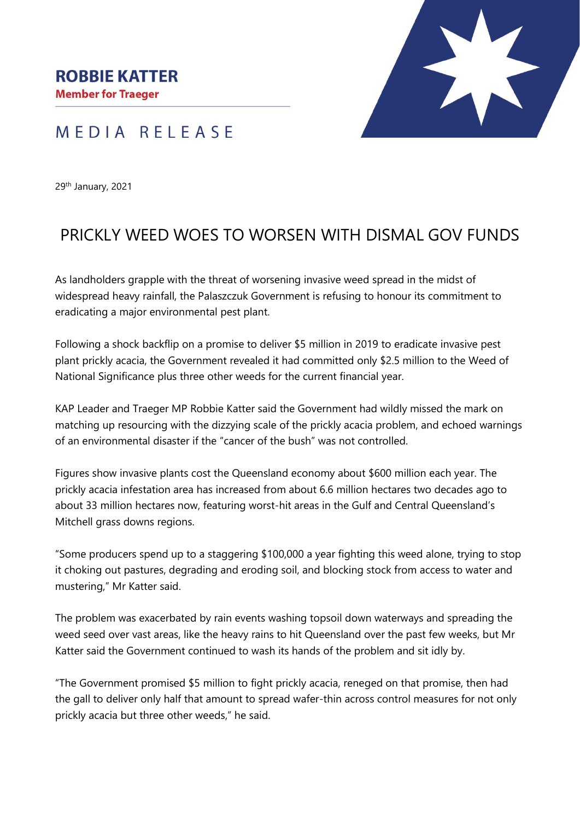

## MEDIA RELEASE

29th January, 2021

## PRICKLY WEED WOES TO WORSEN WITH DISMAL GOV FUNDS

As landholders grapple with the threat of worsening invasive weed spread in the midst of widespread heavy rainfall, the Palaszczuk Government is refusing to honour its commitment to eradicating a major environmental pest plant.

Following a shock backflip on a promise to deliver \$5 million in 2019 to eradicate invasive pest plant prickly acacia, the Government revealed it had committed only \$2.5 million to the Weed of National Significance plus three other weeds for the current financial year.

KAP Leader and Traeger MP Robbie Katter said the Government had wildly missed the mark on matching up resourcing with the dizzying scale of the prickly acacia problem, and echoed warnings of an environmental disaster if the "cancer of the bush" was not controlled.

Figures show invasive plants cost the Queensland economy about \$600 million each year. The prickly acacia infestation area has increased from about 6.6 million hectares two decades ago to about 33 million hectares now, featuring worst-hit areas in the Gulf and Central Queensland's Mitchell grass downs regions.

"Some producers spend up to a staggering \$100,000 a year fighting this weed alone, trying to stop it choking out pastures, degrading and eroding soil, and blocking stock from access to water and mustering," Mr Katter said.

The problem was exacerbated by rain events washing topsoil down waterways and spreading the weed seed over vast areas, like the heavy rains to hit Queensland over the past few weeks, but Mr Katter said the Government continued to wash its hands of the problem and sit idly by.

"The Government promised \$5 million to fight prickly acacia, reneged on that promise, then had the gall to deliver only half that amount to spread wafer-thin across control measures for not only prickly acacia but three other weeds," he said.